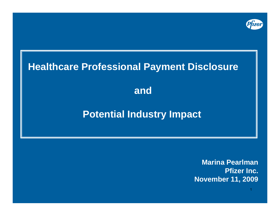

# **Healthcare Professional Payment Disclosure and Potential Industry Impact**

**Marina PearlmanPfizer Inc. November 11, 2009**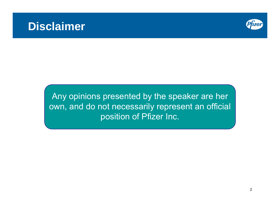

Any opinions presented by the speaker are her own, and do not necessarily represent an official position of Pfizer Inc.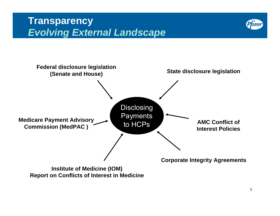# **Transparency**  *Evolving External Landscape*





**Report on Conflicts of Interest in Medicine**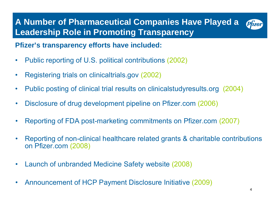### **A Number of Pharmaceutical Companies Have Played a**  Pfizer **Leadership Role in Promoting Transparency**

## **Pfizer's transparency efforts have included:**

- •Public reporting of U.S. political contributions (2002)
- •Registering trials on clinicaltrials.gov (2002)
- •Public posting of clinical trial results on clinicalstudyresults.org (2004)
- •Disclosure of drug development pipeline on Pfizer.com (2006)
- •Reporting of FDA post-marketing commitments on Pfizer.com (2007)
- • Reporting of non-clinical healthcare related grants & charitable contributions on Pfizer.com (2008)
- •Launch of unbranded Medicine Safety website (2008)
- •Announcement of HCP Payment Disclosure Initiative (2009)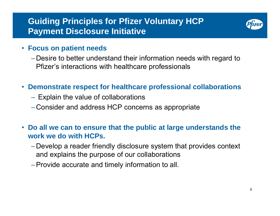# **Guiding Principles for Pfizer Voluntary HCP Payment Disclosure Initiative**



### • **Focus on patient needs**

- –Desire to better understand their information needs with regard to Pfizer's interactions with healthcare professionals
- **Demonstrate respect for healthcare professional collaborations**
	- $-$  Explain the value of collaborations
	- –Consider and address HCP concerns as appropriate
- **Do all we can to ensure that the public at large understands the work we do with HCPs.**
	- –Develop a reader friendly disclosure system that provides context and explains the purpose of our collaborations
	- –Provide accurate and timely information to all.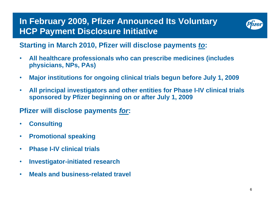# **In February 2009, Pfizer Announced Its Voluntary HCP Payment Disclosure Initiative**



# **Starting in March 2010, Pfizer will disclose payments** *to***:**

- $\bullet$  **All healthcare professionals who can prescribe medicines (includes physicians, NPs, PAs)**
- $\bullet$ **Major institutions for ongoing clinical trials begun before July 1, 2009**
- $\bullet$  **All principal investigators and other entities for Phase I-IV clinical trials sponsored by Pfizer beginning on or after July 1, 2009**

# **Pfizer will disclose payments** *for***:**

- •**Consulting**
- $\bullet$ **Promotional speaking**
- •**Phase I-IV clinical trials**
- $\bullet$ **Investigator-initiated research**
- $\bullet$ **Meals and business-related travel**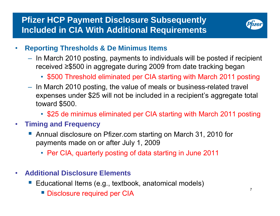

- • **Reporting Thresholds & De Minimus Items**
	- $-$  In March 2010 posting, payments to individuals will be posted if recipient received ≥\$500 in aggregate during 2009 from date tracking began
		- \$500 Threshold eliminated per CIA starting with March 2011 posting
	- $-$  In March 2010 posting, the value of meals or business-related travel expenses under \$25 will not be included in a recipient's aggregate total toward \$500.
		- \$25 de minimus eliminated per CIA starting with March 2011 posting

### •**Timing and Frequency**

- Annual disclosure on Pfizer.com starting on March 31, 2010 for payments made on or after July 1, 2009
	- Per CIA, quarterly posting of data starting in June 2011
- • **Additional Disclosure Elements**
	- Educational Items (e.g., textbook, anatomical models)
		- Disclosure required per CIA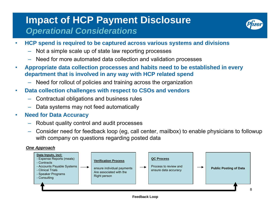# **Impact of HCP Payment Disclosure**  *Operational Considerations*



- • **HCP spend is required to be captured across various systems and divisions**
	- –Not a simple scale up of state law reporting processes
	- Need for more automated data collection and validation processes
- • **Appropriate data collection processes and habits need to be established in every department that is involved in any way with HCP related spend**
	- Need for rollout of policies and training across the organization
- • **Data collection challenges with respect to CSOs and vendors**
	- Contractual obligations and business rules
	- Data systems may not feed automatically

#### •**Need for Data Accuracy**

- Robust quality control and audit processes
- – Consider need for feedback loop (eg, call center, mailbox) to enable physicians to followup with company on questions regarding posted data

### *One Approach*

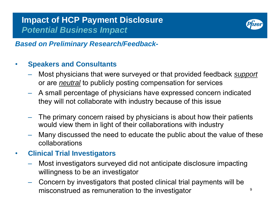

### *Based on Preliminary Research/Feedback-*

#### •**Speakers and Consultants**

- Most physicians that were surveyed or that provided feedback *support*  or are *neutral* to publicly posting compensation for services
- A small percentage of physicians have expressed concern indicated they will not collaborate with industry because of this issue
- The primary concern raised by physicians is about how their patients would view them in light of their collaborations with industry
- Many discussed the need to educate the public about the value of these collaborations
- • **Clinical Trial Investigators**
	- Most investigators surveyed did not anticipate disclosure impacting willingness to be an investigator
	- – Concern by investigators that posted clinical trial payments will be misconstrued as remuneration to the investigator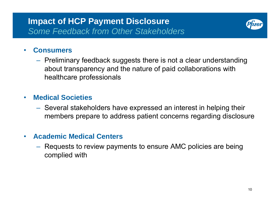

#### $\bullet$ **Consumers**

 $-$  Preliminary feedback suggests there is not a clear understanding about transparency and the nature of paid collaborations with healthcare professionals

### $\bullet$ **Medical Societies**

 Several stakeholders have expressed an interest in helping their members prepare to address patient concerns regarding disclosure

#### •**Academic Medical Centers**

 Requests to review payments to ensure AMC policies are being complied with